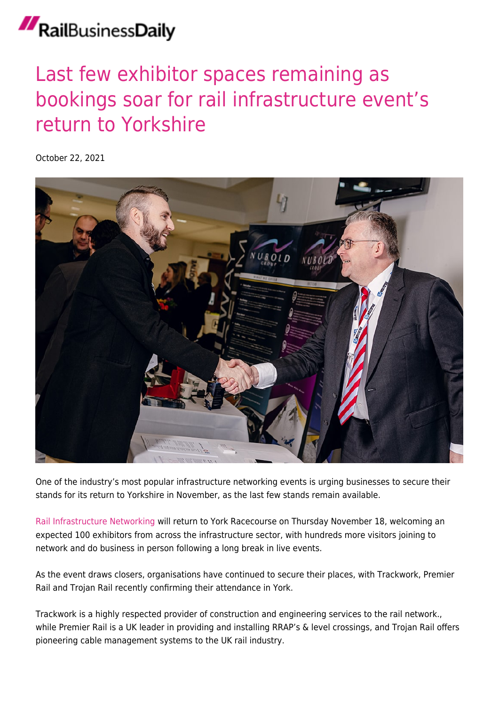## RailBusinessDaily

## [Last few exhibitor spaces remaining as](https://news.railbusinessdaily.com/last-few-exhibitor-spaces-remaining-as-bookings-soar-for-rail-infrastructure-events-return-to-yorkshire/) [bookings soar for rail infrastructure event's](https://news.railbusinessdaily.com/last-few-exhibitor-spaces-remaining-as-bookings-soar-for-rail-infrastructure-events-return-to-yorkshire/) [return to Yorkshire](https://news.railbusinessdaily.com/last-few-exhibitor-spaces-remaining-as-bookings-soar-for-rail-infrastructure-events-return-to-yorkshire/)

October 22, 2021



One of the industry's most popular infrastructure networking events is urging businesses to secure their stands for its return to Yorkshire in November, as the last few stands remain available.

[Rail Infrastructure Networking](http://rinevents.co.uk) will return to York Racecourse on Thursday November 18, welcoming an expected 100 exhibitors from across the infrastructure sector, with hundreds more visitors joining to network and do business in person following a long break in live events.

As the event draws closers, organisations have continued to secure their places, with Trackwork, Premier Rail and Trojan Rail recently confirming their attendance in York.

Trackwork is a highly respected provider of construction and engineering services to the rail network., while Premier Rail is a UK leader in providing and installing RRAP's & level crossings, and Trojan Rail offers pioneering cable management systems to the UK rail industry.